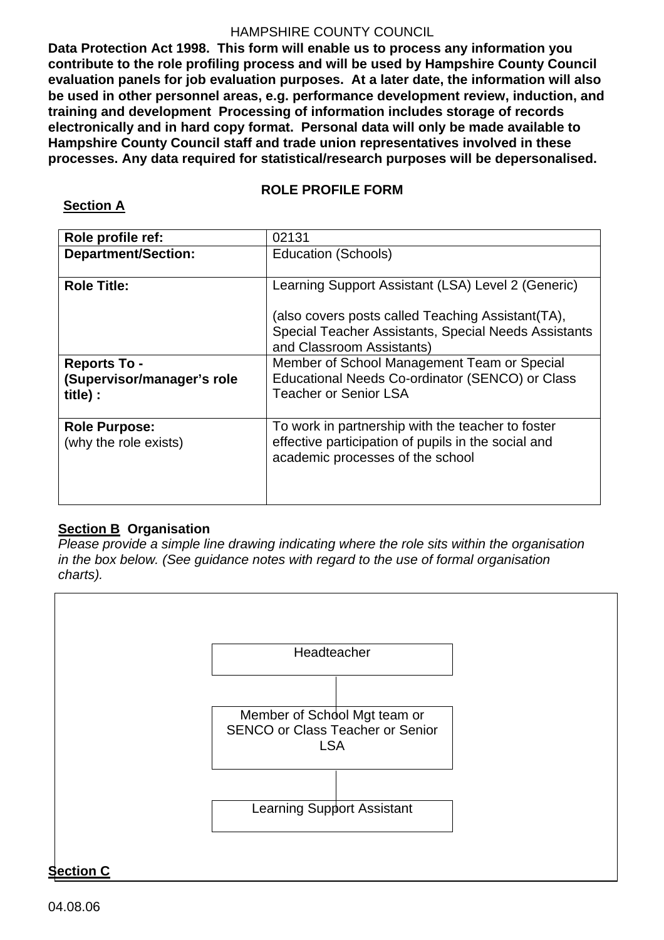**Data Protection Act 1998. This form will enable us to process any information you contribute to the role profiling process and will be used by Hampshire County Council evaluation panels for job evaluation purposes. At a later date, the information will also be used in other personnel areas, e.g. performance development review, induction, and training and development Processing of information includes storage of records electronically and in hard copy format. Personal data will only be made available to Hampshire County Council staff and trade union representatives involved in these processes. Any data required for statistical/research purposes will be depersonalised.** 

## **ROLE PROFILE FORM**

## **Section A**

| Role profile ref:                                             | 02131                                                                                                                                                                                         |  |
|---------------------------------------------------------------|-----------------------------------------------------------------------------------------------------------------------------------------------------------------------------------------------|--|
| <b>Department/Section:</b>                                    | <b>Education (Schools)</b>                                                                                                                                                                    |  |
| <b>Role Title:</b>                                            | Learning Support Assistant (LSA) Level 2 (Generic)<br>(also covers posts called Teaching Assistant (TA),<br>Special Teacher Assistants, Special Needs Assistants<br>and Classroom Assistants) |  |
| <b>Reports To -</b><br>(Supervisor/manager's role<br>title) : | Member of School Management Team or Special<br>Educational Needs Co-ordinator (SENCO) or Class<br><b>Teacher or Senior LSA</b>                                                                |  |
| <b>Role Purpose:</b><br>(why the role exists)                 | To work in partnership with the teacher to foster<br>effective participation of pupils in the social and<br>academic processes of the school                                                  |  |

## **Section B Organisation**

*Please provide a simple line drawing indicating where the role sits within the organisation in the box below. (See guidance notes with regard to the use of formal organisation charts).* 



# 04.08.06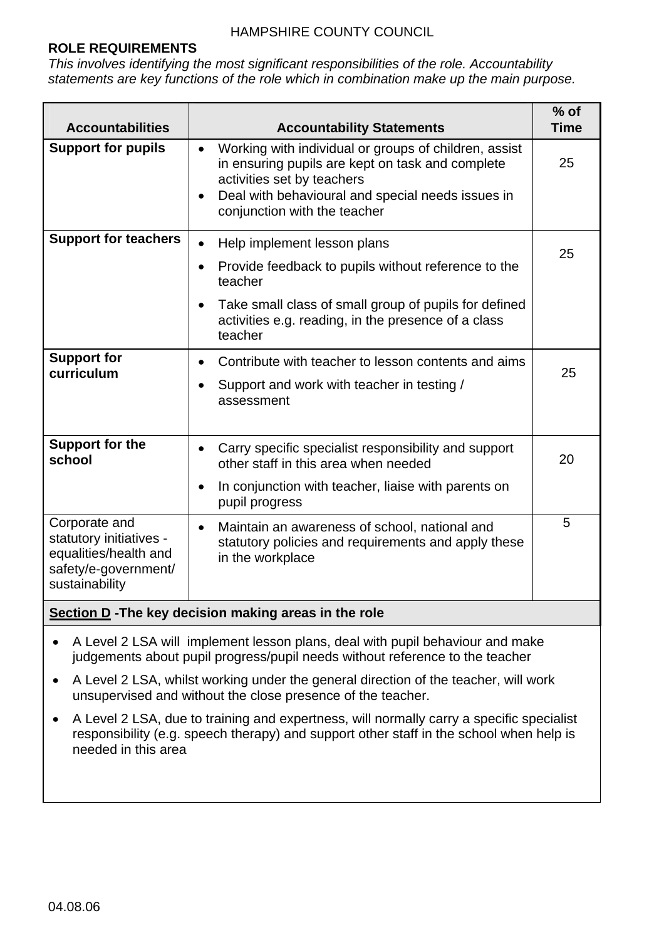## **ROLE REQUIREMENTS**

*This involves identifying the most significant responsibilities of the role. Accountability statements are key functions of the role which in combination make up the main purpose.* 

| <b>Accountabilities</b>                                                                                     | <b>Accountability Statements</b>                                                                                                                                                                                                                       | $%$ of<br><b>Time</b> |
|-------------------------------------------------------------------------------------------------------------|--------------------------------------------------------------------------------------------------------------------------------------------------------------------------------------------------------------------------------------------------------|-----------------------|
| <b>Support for pupils</b>                                                                                   | Working with individual or groups of children, assist<br>$\bullet$<br>in ensuring pupils are kept on task and complete<br>activities set by teachers<br>Deal with behavioural and special needs issues in<br>$\bullet$<br>conjunction with the teacher | 25                    |
| <b>Support for teachers</b>                                                                                 | Help implement lesson plans<br>$\bullet$<br>Provide feedback to pupils without reference to the<br>$\bullet$<br>teacher<br>Take small class of small group of pupils for defined<br>activities e.g. reading, in the presence of a class<br>teacher     | 25                    |
| <b>Support for</b><br>curriculum                                                                            | Contribute with teacher to lesson contents and aims<br>$\bullet$<br>Support and work with teacher in testing /<br>$\bullet$<br>assessment                                                                                                              | 25                    |
| <b>Support for the</b><br>school                                                                            | Carry specific specialist responsibility and support<br>$\bullet$<br>other staff in this area when needed<br>In conjunction with teacher, liaise with parents on<br>$\bullet$<br>pupil progress                                                        | 20                    |
| Corporate and<br>statutory initiatives -<br>equalities/health and<br>safety/e-government/<br>sustainability | Maintain an awareness of school, national and<br>$\bullet$<br>statutory policies and requirements and apply these<br>in the workplace                                                                                                                  | 5                     |
| Section D-The key decision making areas in the role                                                         |                                                                                                                                                                                                                                                        |                       |

- A Level 2 LSA will implement lesson plans, deal with pupil behaviour and make judgements about pupil progress/pupil needs without reference to the teacher
- A Level 2 LSA, whilst working under the general direction of the teacher, will work unsupervised and without the close presence of the teacher.
- A Level 2 LSA, due to training and expertness, will normally carry a specific specialist responsibility (e.g. speech therapy) and support other staff in the school when help is needed in this area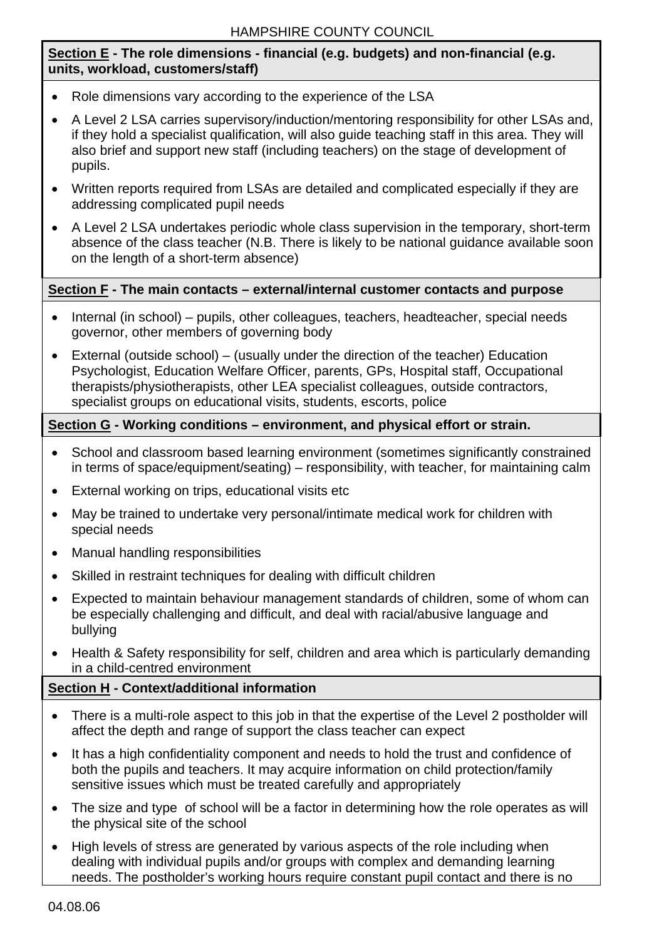## **Section E - The role dimensions - financial (e.g. budgets) and non-financial (e.g. units, workload, customers/staff)**

- Role dimensions vary according to the experience of the LSA
- A Level 2 LSA carries supervisory/induction/mentoring responsibility for other LSAs and, if they hold a specialist qualification, will also guide teaching staff in this area. They will also brief and support new staff (including teachers) on the stage of development of pupils.
- Written reports required from LSAs are detailed and complicated especially if they are addressing complicated pupil needs
- A Level 2 LSA undertakes periodic whole class supervision in the temporary, short-term absence of the class teacher (N.B. There is likely to be national guidance available soon on the length of a short-term absence)

## **Section F - The main contacts – external/internal customer contacts and purpose**

- Internal (in school) pupils, other colleagues, teachers, headteacher, special needs governor, other members of governing body
- External (outside school) (usually under the direction of the teacher) Education Psychologist, Education Welfare Officer, parents, GPs, Hospital staff, Occupational therapists/physiotherapists, other LEA specialist colleagues, outside contractors, specialist groups on educational visits, students, escorts, police

## **Section G - Working conditions – environment, and physical effort or strain.**

- School and classroom based learning environment (sometimes significantly constrained in terms of space/equipment/seating) – responsibility, with teacher, for maintaining calm
- External working on trips, educational visits etc
- May be trained to undertake very personal/intimate medical work for children with special needs
- Manual handling responsibilities
- Skilled in restraint techniques for dealing with difficult children
- Expected to maintain behaviour management standards of children, some of whom can be especially challenging and difficult, and deal with racial/abusive language and bullying
- Health & Safety responsibility for self, children and area which is particularly demanding in a child-centred environment

## **Section H - Context/additional information**

- There is a multi-role aspect to this job in that the expertise of the Level 2 postholder will affect the depth and range of support the class teacher can expect
- It has a high confidentiality component and needs to hold the trust and confidence of both the pupils and teachers. It may acquire information on child protection/family sensitive issues which must be treated carefully and appropriately
- The size and type of school will be a factor in determining how the role operates as will the physical site of the school
- High levels of stress are generated by various aspects of the role including when dealing with individual pupils and/or groups with complex and demanding learning needs. The postholder's working hours require constant pupil contact and there is no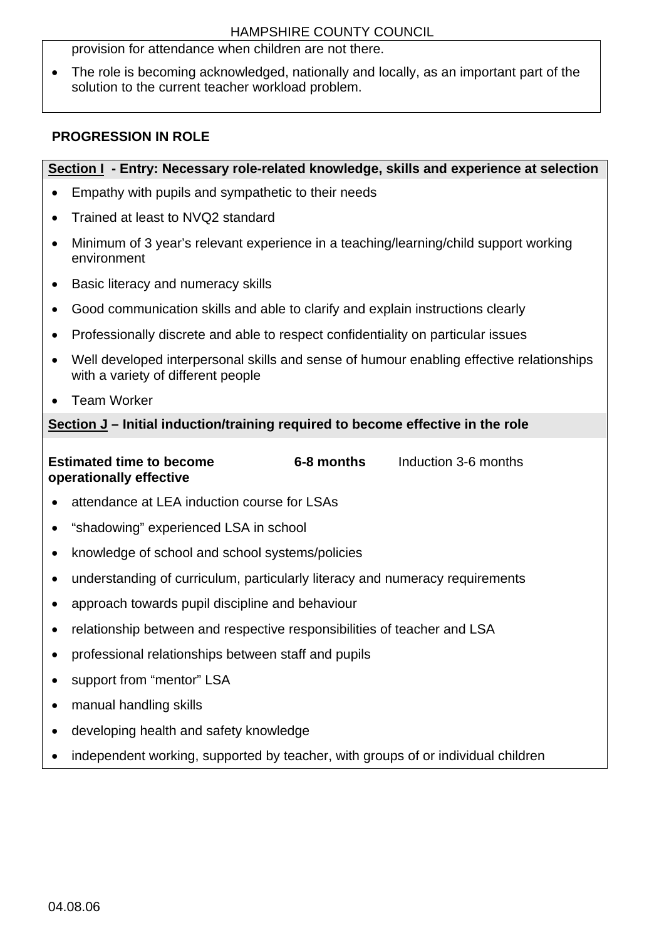provision for attendance when children are not there.

• The role is becoming acknowledged, nationally and locally, as an important part of the solution to the current teacher workload problem.

## **PROGRESSION IN ROLE**

## **Section I - Entry: Necessary role-related knowledge, skills and experience at selection**

- Empathy with pupils and sympathetic to their needs
- Trained at least to NVQ2 standard
- Minimum of 3 year's relevant experience in a teaching/learning/child support working environment
- Basic literacy and numeracy skills
- Good communication skills and able to clarify and explain instructions clearly
- Professionally discrete and able to respect confidentiality on particular issues
- Well developed interpersonal skills and sense of humour enabling effective relationships with a variety of different people
- Team Worker

## **Section J – Initial induction/training required to become effective in the role**

#### **Estimated time to become operationally effective 6-8 months** Induction 3-6 months

- attendance at LEA induction course for LSAs
- "shadowing" experienced LSA in school
- knowledge of school and school systems/policies
- understanding of curriculum, particularly literacy and numeracy requirements
- approach towards pupil discipline and behaviour
- relationship between and respective responsibilities of teacher and LSA
- professional relationships between staff and pupils
- support from "mentor" LSA
- manual handling skills
- developing health and safety knowledge
- independent working, supported by teacher, with groups of or individual children